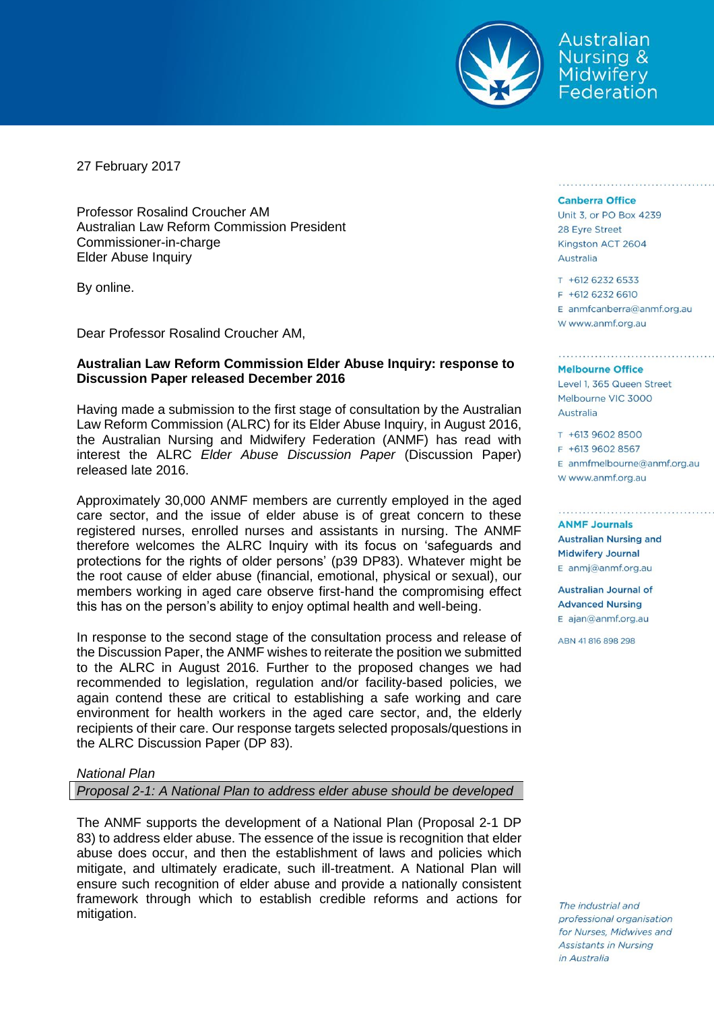

Australian Nursing & Midwifery Federation

27 February 2017

Professor Rosalind Croucher AM Australian Law Reform Commission President Commissioner-in-charge Elder Abuse Inquiry

By online.

Dear Professor Rosalind Croucher AM,

# **Australian Law Reform Commission Elder Abuse Inquiry: response to Discussion Paper released December 2016**

Having made a submission to the first stage of consultation by the Australian Law Reform Commission (ALRC) for its Elder Abuse Inquiry, in August 2016, the Australian Nursing and Midwifery Federation (ANMF) has read with interest the ALRC *Elder Abuse Discussion Paper* (Discussion Paper) released late 2016.

Approximately 30,000 ANMF members are currently employed in the aged care sector, and the issue of elder abuse is of great concern to these registered nurses, enrolled nurses and assistants in nursing. The ANMF therefore welcomes the ALRC Inquiry with its focus on 'safeguards and protections for the rights of older persons' (p39 DP83). Whatever might be the root cause of elder abuse (financial, emotional, physical or sexual), our members working in aged care observe first-hand the compromising effect this has on the person's ability to enjoy optimal health and well-being.

In response to the second stage of the consultation process and release of the Discussion Paper, the ANMF wishes to reiterate the position we submitted to the ALRC in August 2016. Further to the proposed changes we had recommended to legislation, regulation and/or facility-based policies, we again contend these are critical to establishing a safe working and care environment for health workers in the aged care sector, and, the elderly recipients of their care. Our response targets selected proposals/questions in the ALRC Discussion Paper (DP 83).

### *National Plan*

*Proposal 2-1: A National Plan to address elder abuse should be developed*

The ANMF supports the development of a National Plan (Proposal 2-1 DP 83) to address elder abuse. The essence of the issue is recognition that elder abuse does occur, and then the establishment of laws and policies which mitigate, and ultimately eradicate, such ill-treatment. A National Plan will ensure such recognition of elder abuse and provide a nationally consistent framework through which to establish credible reforms and actions for mitigation.

#### **Canberra Office**

Unit 3, or PO Box 4239 28 Eyre Street Kingston ACT 2604 Australia

T +612 6232 6533 F +612 6232 6610

E anmfcanberra@anmf.org.au w www.anmf.org.au

#### **Melbourne Office**

Level 1, 365 Queen Street Melbourne VIC 3000 Australia

T +613 9602 8500 F +613 9602 8567  $E$  anmfmelbourne@anmf.org.au W www.anmf.org.au

**ANME Journals Australian Nursing and Midwifery Journal** E anmj@anmf.org.au

**Australian Journal of Advanced Nursing** E ajan@anmf.org.au

ABN 41816898298

The industrial and professional organisation for Nurses, Midwives and Assistants in Nursing in Australia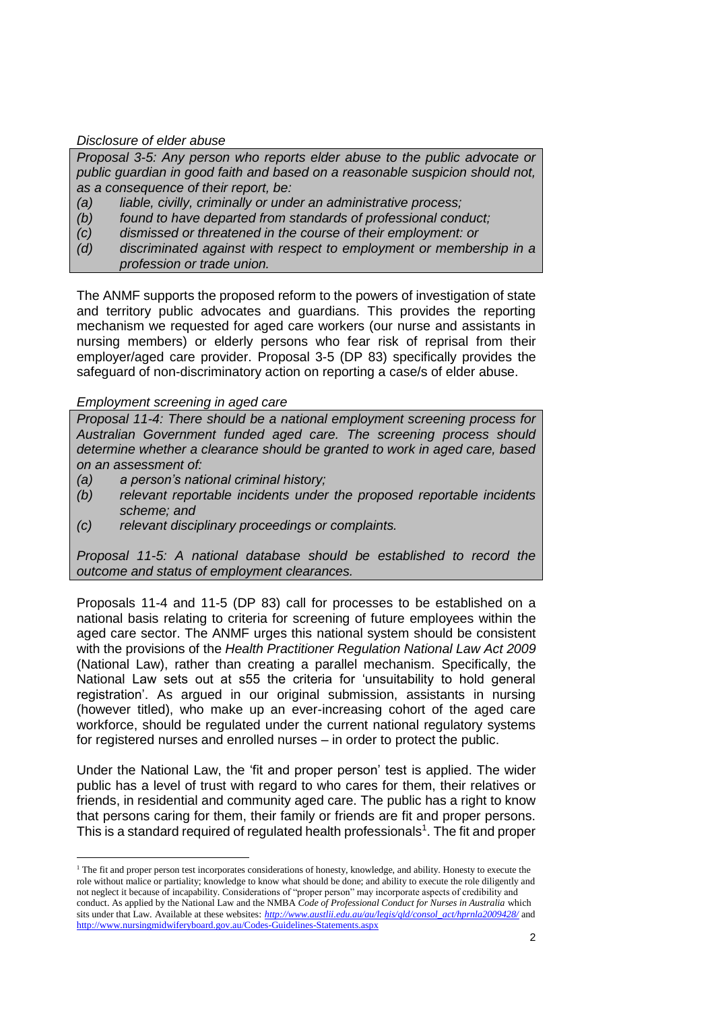# *Disclosure of elder abuse*

*Proposal 3-5: Any person who reports elder abuse to the public advocate or public guardian in good faith and based on a reasonable suspicion should not, as a consequence of their report, be:*

- *(a) liable, civilly, criminally or under an administrative process;*
- *(b) found to have departed from standards of professional conduct;*
- *(c) dismissed or threatened in the course of their employment: or*
- *(d) discriminated against with respect to employment or membership in a profession or trade union.*

The ANMF supports the proposed reform to the powers of investigation of state and territory public advocates and guardians. This provides the reporting mechanism we requested for aged care workers (our nurse and assistants in nursing members) or elderly persons who fear risk of reprisal from their employer/aged care provider. Proposal 3-5 (DP 83) specifically provides the safeguard of non-discriminatory action on reporting a case/s of elder abuse.

# *Employment screening in aged care*

 $\overline{a}$ 

*Proposal 11-4: There should be a national employment screening process for Australian Government funded aged care. The screening process should determine whether a clearance should be granted to work in aged care, based on an assessment of:*

- *(a) a person's national criminal history;*
- *(b) relevant reportable incidents under the proposed reportable incidents scheme; and*
- *(c) relevant disciplinary proceedings or complaints.*

*Proposal 11-5: A national database should be established to record the outcome and status of employment clearances.* 

Proposals 11-4 and 11-5 (DP 83) call for processes to be established on a national basis relating to criteria for screening of future employees within the aged care sector. The ANMF urges this national system should be consistent with the provisions of the *Health Practitioner Regulation National Law Act 2009* (National Law), rather than creating a parallel mechanism. Specifically, the National Law sets out at s55 the criteria for 'unsuitability to hold general registration'. As argued in our original submission, assistants in nursing (however titled), who make up an ever-increasing cohort of the aged care workforce, should be regulated under the current national regulatory systems for registered nurses and enrolled nurses – in order to protect the public.

Under the National Law, the 'fit and proper person' test is applied. The wider public has a level of trust with regard to who cares for them, their relatives or friends, in residential and community aged care. The public has a right to know that persons caring for them, their family or friends are fit and proper persons. This is a standard required of regulated health professionals<sup>1</sup>. The fit and proper

<sup>&</sup>lt;sup>1</sup> The fit and proper person test incorporates considerations of honesty, knowledge, and ability. Honesty to execute the role without malice or partiality; knowledge to know what should be done; and ability to execute the role diligently and not neglect it because of incapability. Considerations of "proper person" may incorporate aspects of credibility and conduct. As applied by the National Law and the NMBA *Code of Professional Conduct for Nurses in Australia* which sits under that Law. Available at these websites: *[http://www.austlii.edu.au/au/legis/qld/consol\\_act/hprnla2009428/](http://www.austlii.edu.au/au/legis/qld/consol_act/hprnla2009428/)* and <http://www.nursingmidwiferyboard.gov.au/Codes-Guidelines-Statements.aspx>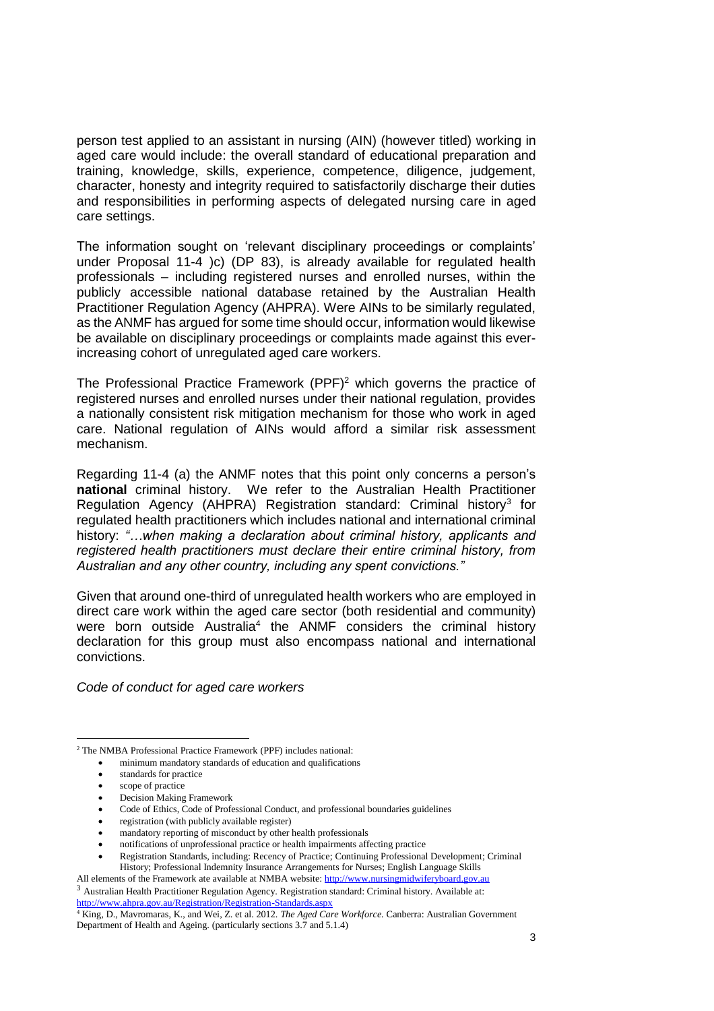person test applied to an assistant in nursing (AIN) (however titled) working in aged care would include: the overall standard of educational preparation and training, knowledge, skills, experience, competence, diligence, judgement, character, honesty and integrity required to satisfactorily discharge their duties and responsibilities in performing aspects of delegated nursing care in aged care settings.

The information sought on 'relevant disciplinary proceedings or complaints' under Proposal 11-4 )c) (DP 83), is already available for regulated health professionals – including registered nurses and enrolled nurses, within the publicly accessible national database retained by the Australian Health Practitioner Regulation Agency (AHPRA). Were AINs to be similarly regulated, as the ANMF has argued for some time should occur, information would likewise be available on disciplinary proceedings or complaints made against this everincreasing cohort of unregulated aged care workers.

The Professional Practice Framework  $(PPF)^2$  which governs the practice of registered nurses and enrolled nurses under their national regulation, provides a nationally consistent risk mitigation mechanism for those who work in aged care. National regulation of AINs would afford a similar risk assessment mechanism.

Regarding 11-4 (a) the ANMF notes that this point only concerns a person's **national** criminal history. We refer to the Australian Health Practitioner Regulation Agency (AHPRA) Registration standard: Criminal history<sup>3</sup> for regulated health practitioners which includes national and international criminal history: *"…when making a declaration about criminal history, applicants and registered health practitioners must declare their entire criminal history, from Australian and any other country, including any spent convictions."*

Given that around one-third of unregulated health workers who are employed in direct care work within the aged care sector (both residential and community) were born outside Australia<sup>4</sup> the ANMF considers the criminal history declaration for this group must also encompass national and international convictions.

*Code of conduct for aged care workers*

minimum mandatory standards of education and qualifications

 $\overline{a}$ 

- registration (with publicly available register)
- mandatory reporting of misconduct by other health professionals
- notifications of unprofessional practice or health impairments affecting practice

<sup>2</sup> The NMBA Professional Practice Framework (PPF) includes national:

standards for practice

scope of practice

Decision Making Framework

Code of Ethics, Code of Professional Conduct, and professional boundaries guidelines

Registration Standards, including: Recency of Practice; Continuing Professional Development; Criminal History; Professional Indemnity Insurance Arrangements for Nurses; English Language Skills

All elements of the Framework ate available at NMBA website[: http://www.nursingmidwiferyboard.gov.au](http://www.nursingmidwiferyboard.gov.au/) <sup>3</sup> Australian Health Practitioner Regulation Agency. Registration standard: Criminal history. Available at:

<http://www.ahpra.gov.au/Registration/Registration-Standards.aspx>

<sup>4</sup> King, D., Mavromaras, K., and Wei, Z. et al. 2012. *The Aged Care Workforce.* Canberra: Australian Government Department of Health and Ageing. (particularly sections 3.7 and 5.1.4)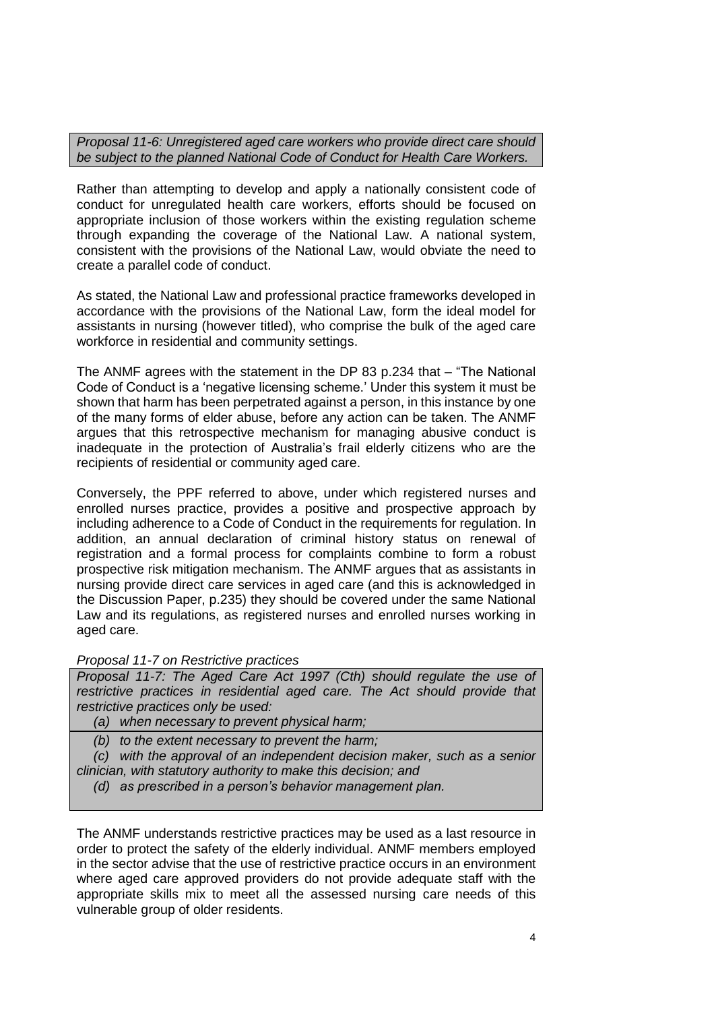*Proposal 11-6: Unregistered aged care workers who provide direct care should be subject to the planned National Code of Conduct for Health Care Workers.*

Rather than attempting to develop and apply a nationally consistent code of conduct for unregulated health care workers, efforts should be focused on appropriate inclusion of those workers within the existing regulation scheme through expanding the coverage of the National Law. A national system, consistent with the provisions of the National Law, would obviate the need to create a parallel code of conduct.

As stated, the National Law and professional practice frameworks developed in accordance with the provisions of the National Law, form the ideal model for assistants in nursing (however titled), who comprise the bulk of the aged care workforce in residential and community settings.

The ANMF agrees with the statement in the DP 83 p.234 that – "The National Code of Conduct is a 'negative licensing scheme.' Under this system it must be shown that harm has been perpetrated against a person, in this instance by one of the many forms of elder abuse, before any action can be taken. The ANMF argues that this retrospective mechanism for managing abusive conduct is inadequate in the protection of Australia's frail elderly citizens who are the recipients of residential or community aged care.

Conversely, the PPF referred to above, under which registered nurses and enrolled nurses practice, provides a positive and prospective approach by including adherence to a Code of Conduct in the requirements for regulation. In addition, an annual declaration of criminal history status on renewal of registration and a formal process for complaints combine to form a robust prospective risk mitigation mechanism. The ANMF argues that as assistants in nursing provide direct care services in aged care (and this is acknowledged in the Discussion Paper, p.235) they should be covered under the same National Law and its regulations, as registered nurses and enrolled nurses working in aged care.

# *Proposal 11-7 on Restrictive practices*

*Proposal 11-7: The Aged Care Act 1997 (Cth) should regulate the use of restrictive practices in residential aged care. The Act should provide that restrictive practices only be used:*

*(a) when necessary to prevent physical harm;*

*(b) to the extent necessary to prevent the harm;*

*(c) with the approval of an independent decision maker, such as a senior clinician, with statutory authority to make this decision; and*

*(d) as prescribed in a person's behavior management plan.*

The ANMF understands restrictive practices may be used as a last resource in order to protect the safety of the elderly individual. ANMF members employed in the sector advise that the use of restrictive practice occurs in an environment where aged care approved providers do not provide adequate staff with the appropriate skills mix to meet all the assessed nursing care needs of this vulnerable group of older residents.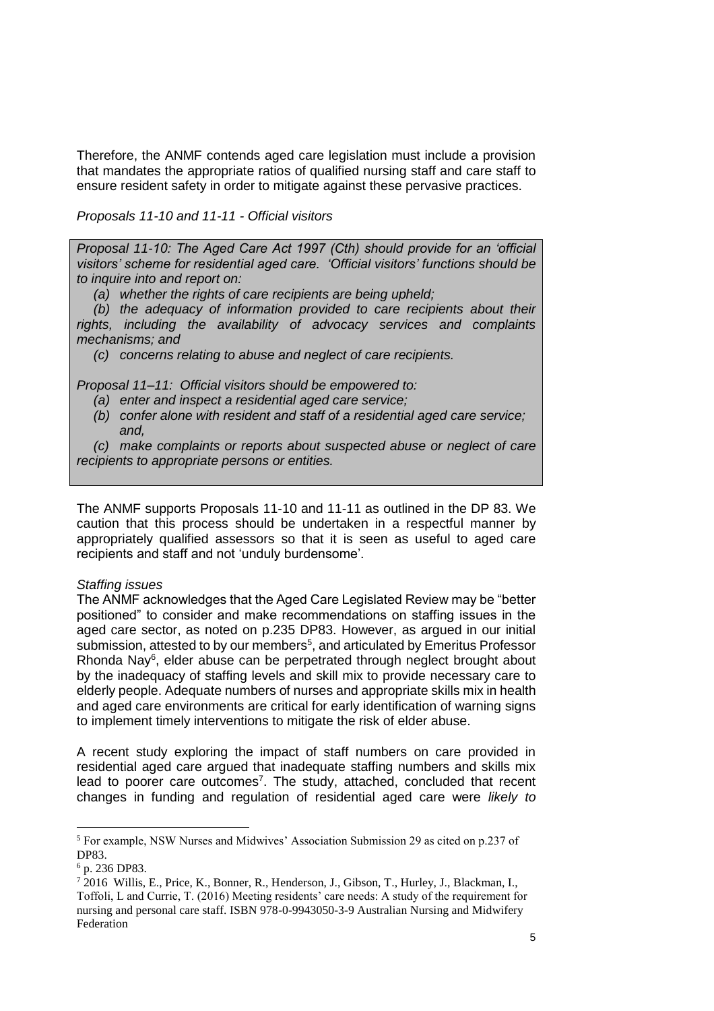Therefore, the ANMF contends aged care legislation must include a provision that mandates the appropriate ratios of qualified nursing staff and care staff to ensure resident safety in order to mitigate against these pervasive practices.

*Proposals 11-10 and 11-11 - Official visitors*

*Proposal 11-10: The Aged Care Act 1997 (Cth) should provide for an 'official visitors' scheme for residential aged care. 'Official visitors' functions should be to inquire into and report on:*

*(a) whether the rights of care recipients are being upheld;*

*(b) the adequacy of information provided to care recipients about their rights, including the availability of advocacy services and complaints mechanisms; and* 

*(c) concerns relating to abuse and neglect of care recipients.*

*Proposal 11–11: Official visitors should be empowered to:*

- *(a) enter and inspect a residential aged care service;*
- *(b) confer alone with resident and staff of a residential aged care service; and,*

*(c) make complaints or reports about suspected abuse or neglect of care recipients to appropriate persons or entities.*

The ANMF supports Proposals 11-10 and 11-11 as outlined in the DP 83. We caution that this process should be undertaken in a respectful manner by appropriately qualified assessors so that it is seen as useful to aged care recipients and staff and not 'unduly burdensome'.

# *Staffing issues*

The ANMF acknowledges that the Aged Care Legislated Review may be "better positioned" to consider and make recommendations on staffing issues in the aged care sector, as noted on p.235 DP83. However, as argued in our initial submission, attested to by our members<sup>5</sup>, and articulated by Emeritus Professor Rhonda Nay<sup>6</sup>, elder abuse can be perpetrated through neglect brought about by the inadequacy of staffing levels and skill mix to provide necessary care to elderly people. Adequate numbers of nurses and appropriate skills mix in health and aged care environments are critical for early identification of warning signs to implement timely interventions to mitigate the risk of elder abuse.

A recent study exploring the impact of staff numbers on care provided in residential aged care argued that inadequate staffing numbers and skills mix lead to poorer care outcomes<sup>7</sup>. The study, attached, concluded that recent changes in funding and regulation of residential aged care were *likely to* 

 $\overline{a}$ 

<sup>5</sup> For example, NSW Nurses and Midwives' Association Submission 29 as cited on p.237 of DP83.

<sup>6</sup> p. 236 DP83.

<sup>&</sup>lt;sup>7</sup> 2016 Willis, E., Price, K., Bonner, R., Henderson, J., Gibson, T., Hurley, J., Blackman, I., Toffoli, L and Currie, T. (2016) Meeting residents' care needs: A study of the requirement for nursing and personal care staff. ISBN 978-0-9943050-3-9 Australian Nursing and Midwifery Federation